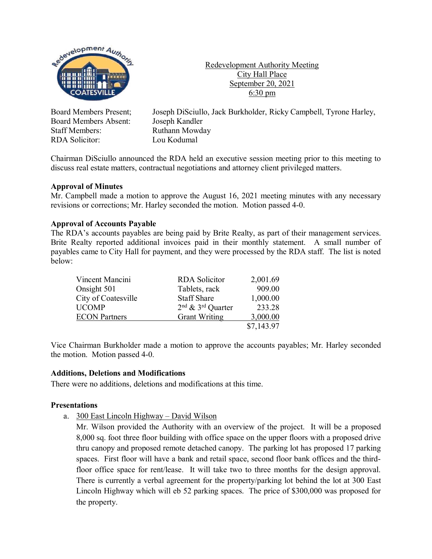

Redevelopment Authority Meeting City Hall Place September 20, 2021  $6:30 \text{ pm}$ 

Board Members Absent: Joseph Kandler Staff Members: Ruthann Mowday RDA Solicitor: Lou Kodumal

Board Members Present; Joseph DiSciullo, Jack Burkholder, Ricky Campbell, Tyrone Harley,

Chairman DiSciullo announced the RDA held an executive session meeting prior to this meeting to discuss real estate matters, contractual negotiations and attorney client privileged matters.

#### **Approval of Minutes**

Mr. Campbell made a motion to approve the August 16, 2021 meeting minutes with any necessary revisions or corrections; Mr. Harley seconded the motion. Motion passed 4-0.

## **Approval of Accounts Payable**

The RDA's accounts payables are being paid by Brite Realty, as part of their management services. Brite Realty reported additional invoices paid in their monthly statement. A small number of payables came to City Hall for payment, and they were processed by the RDA staff. The list is noted below:

| Vincent Mancini      | <b>RDA</b> Solicitor  | 2,001.69   |
|----------------------|-----------------------|------------|
| Onsight 501          | Tablets, rack         | 909.00     |
| City of Coatesville  | <b>Staff Share</b>    | 1,000.00   |
| <b>UCOMP</b>         | $2nd$ & $3rd$ Quarter | 233.28     |
| <b>ECON</b> Partners | <b>Grant Writing</b>  | 3,000.00   |
|                      |                       | \$7,143.97 |

Vice Chairman Burkholder made a motion to approve the accounts payables; Mr. Harley seconded the motion. Motion passed 4-0.

#### **Additions, Deletions and Modifications**

There were no additions, deletions and modifications at this time.

#### **Presentations**

a. 300 East Lincoln Highway – David Wilson

Mr. Wilson provided the Authority with an overview of the project. It will be a proposed 8,000 sq. foot three floor building with office space on the upper floors with a proposed drive thru canopy and proposed remote detached canopy. The parking lot has proposed 17 parking spaces. First floor will have a bank and retail space, second floor bank offices and the thirdfloor office space for rent/lease. It will take two to three months for the design approval. There is currently a verbal agreement for the property/parking lot behind the lot at 300 East Lincoln Highway which will eb 52 parking spaces. The price of \$300,000 was proposed for the property.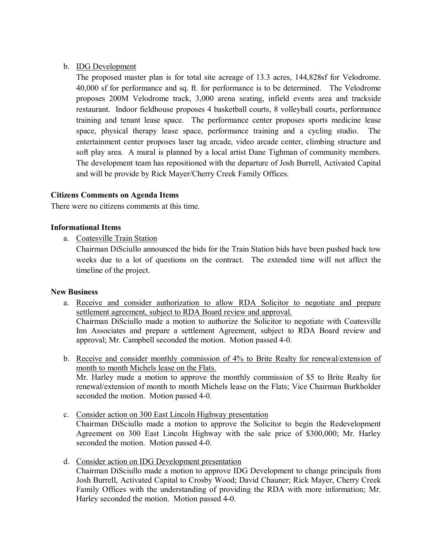## b. IDG Development

The proposed master plan is for total site acreage of 13.3 acres, 144,828sf for Velodrome. 40,000 sf for performance and sq. ft. for performance is to be determined. The Velodrome proposes 200M Velodrome track, 3,000 arena seating, infield events area and trackside restaurant. Indoor fieldhouse proposes 4 basketball courts, 8 volleyball courts, performance training and tenant lease space. The performance center proposes sports medicine lease space, physical therapy lease space, performance training and a cycling studio. The entertainment center proposes laser tag arcade, video arcade center, climbing structure and soft play area. A mural is planned by a local artist Dane Tighman of community members. The development team has repositioned with the departure of Josh Burrell, Activated Capital and will be provide by Rick Mayer/Cherry Creek Family Offices.

#### **Citizens Comments on Agenda Items**

There were no citizens comments at this time.

#### **Informational Items**

a. Coatesville Train Station

Chairman DiSciullo announced the bids for the Train Station bids have been pushed back tow weeks due to a lot of questions on the contract. The extended time will not affect the timeline of the project.

#### **New Business**

- a. Receive and consider authorization to allow RDA Solicitor to negotiate and prepare settlement agreement, subject to RDA Board review and approval. Chairman DiSciullo made a motion to authorize the Solicitor to negotiate with Coatesville Inn Associates and prepare a settlement Agreement, subject to RDA Board review and approval; Mr. Campbell seconded the motion. Motion passed 4-0.
- b. Receive and consider monthly commission of 4% to Brite Realty for renewal/extension of month to month Michels lease on the Flats. Mr. Harley made a motion to approve the monthly commission of \$5 to Brite Realty for renewal/extension of month to month Michels lease on the Flats; Vice Chairman Burkholder seconded the motion. Motion passed 4-0.
- c. Consider action on 300 East Lincoln Highway presentation Chairman DiSciullo made a motion to approve the Solicitor to begin the Redevelopment Agreement on 300 East Lincoln Highway with the sale price of \$300,000; Mr. Harley seconded the motion. Motion passed 4-0.
- d. Consider action on IDG Development presentation Chairman DiSciullo made a motion to approve IDG Development to change principals from Josh Burrell, Activated Capital to Crosby Wood; David Chauner; Rick Mayer, Cherry Creek Family Offices with the understanding of providing the RDA with more information; Mr. Harley seconded the motion. Motion passed 4-0.